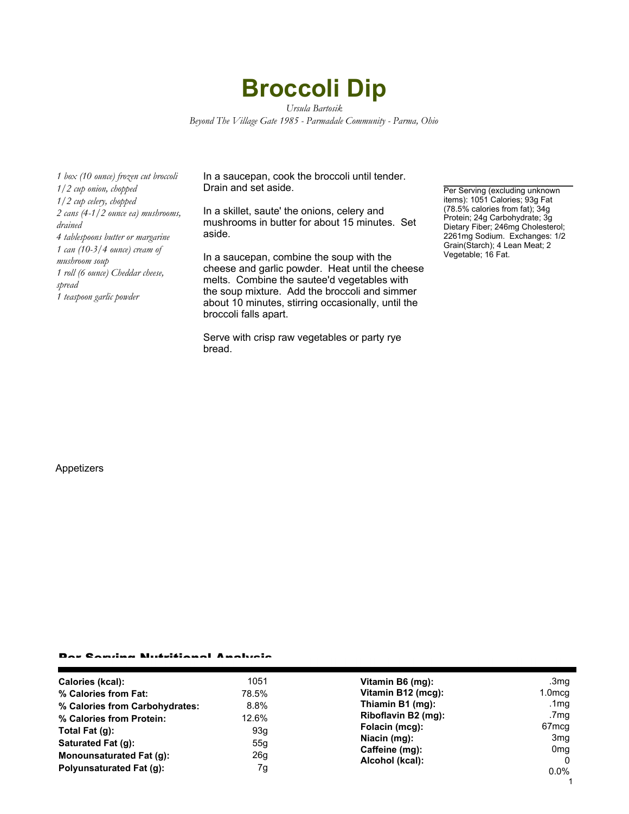# **Broccoli Dip**

*Ursula Bartosik Beyond The Village Gate 1985 - Parmadale Community - Parma, Ohio*

*1 box (10 ounce) frozen cut broccoli 1/2 cup onion, chopped 1/2 cup celery, chopped 2 cans (4-1/2 ounce ea) mushrooms, drained 4 tablespoons butter or margarine 1 can (10-3/4 ounce) cream of mushroom soup 1 roll (6 ounce) Cheddar cheese, spread 1 teaspoon garlic powder*

In a saucepan, cook the broccoli until tender. Drain and set aside.

In a skillet, saute' the onions, celery and mushrooms in butter for about 15 minutes. Set aside.

In a saucepan, combine the soup with the cheese and garlic powder. Heat until the cheese melts. Combine the sautee'd vegetables with the soup mixture. Add the broccoli and simmer about 10 minutes, stirring occasionally, until the broccoli falls apart.

Serve with crisp raw vegetables or party rye bread.

Per Serving (excluding unknown items): 1051 Calories; 93g Fat (78.5% calories from fat); 34g Protein; 24g Carbohydrate; 3g Dietary Fiber; 246mg Cholesterol; 2261mg Sodium. Exchanges: 1/2 Grain(Starch); 4 Lean Meat; 2 Vegetable; 16 Fat.

#### Appetizers

#### Per Serving Nutritional Analysis

| Calories (kcal):               | 1051  | Vitamin B6 (mg):                                                                           | .3mg                        |
|--------------------------------|-------|--------------------------------------------------------------------------------------------|-----------------------------|
| % Calories from Fat:           | 78.5% | Vitamin B12 (mcg):                                                                         | $1.0 \text{mcg}$            |
| % Calories from Carbohydrates: | 8.8%  | Thiamin B1 (mg):                                                                           | .1mg                        |
| % Calories from Protein:       | 12.6% | Riboflavin B2 (mg):<br>Folacin (mcg):<br>Niacin (mg):<br>Caffeine (mg):<br>Alcohol (kcal): | .7mg                        |
| Total Fat (q):                 | 93g   |                                                                                            | 67 <sub>mcq</sub>           |
| Saturated Fat (q):             | 55g   |                                                                                            | 3 <sub>mq</sub>             |
| Monounsaturated Fat (g):       | 26g   |                                                                                            | 0 <sub>mq</sub><br>$\Omega$ |
| Polyunsaturated Fat (q):       | 7g    |                                                                                            | $0.0\%$                     |
|                                |       |                                                                                            |                             |